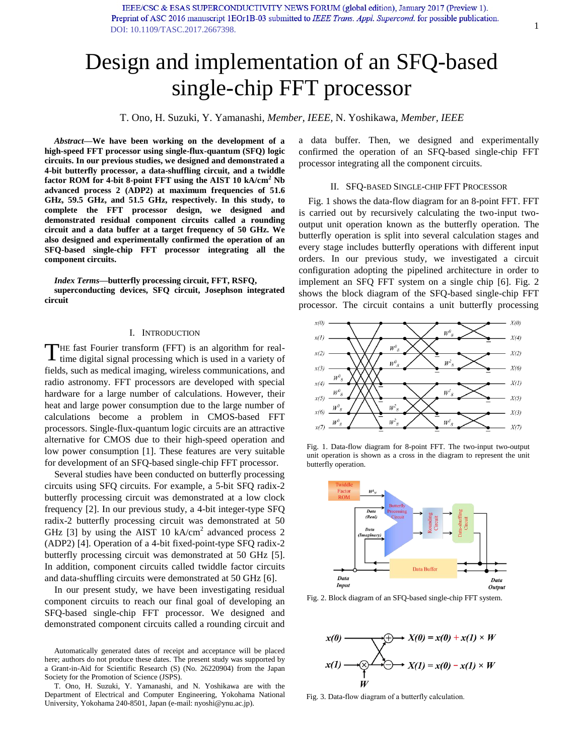IEEE/CSC & ESAS SUPERCONDUCTIVITY NEWS FORUM (global edition), January 2017 (Preview 1). Preprint of ASC 2016 manuscript 1EOr1B-03 submitted to IEEE Trans. Appl. Supercond. for possible publication. [DOI: 10.1109/TASC.2017.2667398.](http://ieeexplore.ieee.org/document/7849159/)

# Design and implementation of an SFQ-based single-chip FFT processor

T. Ono, H. Suzuki, Y. Yamanashi, *Member, IEEE,* N. Yoshikawa, *Member, IEEE* 

*Abstract***—We have been working on the development of a high-speed FFT processor using single-flux-quantum (SFQ) logic circuits. In our previous studies, we designed and demonstrated a 4-bit butterfly processor, a data-shuffling circuit, and a twiddle factor ROM for 4-bit 8-point FFT using the AIST 10 kA/cm<sup>2</sup> Nb advanced process 2 (ADP2) at maximum frequencies of 51.6 GHz, 59.5 GHz, and 51.5 GHz, respectively. In this study, to complete the FFT processor design, we designed and demonstrated residual component circuits called a rounding circuit and a data buffer at a target frequency of 50 GHz. We also designed and experimentally confirmed the operation of an SFQ-based single-chip FFT processor integrating all the component circuits.** 

*Index Terms***—butterfly processing circuit, FFT, RSFQ,** 

**superconducting devices, SFQ circuit, Josephson integrated circuit** 

## I. INTRODUCTION

HE fast Fourier transform (FFT) is an algorithm for real-THE fast Fourier transform (FFT) is an algorithm for real-<br>time digital signal processing which is used in a variety of fields, such as medical imaging, wireless communications, and radio astronomy. FFT processors are developed with special hardware for a large number of calculations. However, their heat and large power consumption due to the large number of calculations become a problem in CMOS-based FFT processors. Single-flux-quantum logic circuits are an attractive alternative for CMOS due to their high-speed operation and low power consumption [\[1\].](#page-3-0) These features are very suitable for development of an SFQ-based single-chip FFT processor.

Several studies have been conducted on butterfly processing circuits using SFQ circuits. For example, a 5-bit SFQ radix-2 butterfly processing circuit was demonstrated at a low clock frequency [\[2\].](#page-3-1) In our previous study, a 4-bit integer-type SFQ radix-2 butterfly processing circuit was demonstrated at 50 GHz  $[3]$  by using the AIST 10 kA/cm<sup>2</sup> advanced process 2 (ADP2) [\[4\].](#page-3-3) Operation of a 4-bit fixed-point-type SFQ radix-2 butterfly processing circuit was demonstrated at 50 GHz [\[5\].](#page-4-0)  In addition, component circuits called twiddle factor circuits and data-shuffling circuits were demonstrated at 50 GHz [\[6\].](#page-4-1)

In our present study, we have been investigating residual component circuits to reach our final goal of developing an SFQ-based single-chip FFT processor. We designed and demonstrated component circuits called a rounding circuit and

Automatically generated dates of receipt and acceptance will be placed here; authors do not produce these dates. The present study was supported by a Grant-in-Aid for Scientific Research (S) (No. 26220904) from the Japan Society for the Promotion of Science (JSPS).

T. Ono, H. Suzuki, Y. Yamanashi, and N. Yoshikawa are with the Department of Electrical and Computer Engineering, Yokohama National University, Yokohama 240-8501, Japan (e-mail: nyoshi@ynu.ac.jp).

a data buffer. Then, we designed and experimentally confirmed the operation of an SFQ-based single-chip FFT processor integrating all the component circuits.

#### II. SFQ-BASED SINGLE-CHIP FFT PROCESSOR

[Fig. 1](#page-0-0) shows the data-flow diagram for an 8-point FFT. FFT is carried out by recursively calculating the two-input twooutput unit operation known as the butterfly operation. The butterfly operation is split into several calculation stages and every stage includes butterfly operations with different input orders. In our previous study, we investigated a circuit configuration adopting the pipelined architecture in order to implement an SFQ FFT system on a single chip [\[6\].](#page-4-1) [Fig. 2](#page-0-1) shows the block diagram of the SFQ-based single-chip FFT processor. The circuit contains a unit butterfly processing



<span id="page-0-0"></span>Fig. 1. Data-flow diagram for 8-point FFT. The two-input two-output unit operation is shown as a cross in the diagram to represent the unit butterfly operation.



<span id="page-0-1"></span>Fig. 2. Block diagram of an SFQ-based single-chip FFT system.



<span id="page-0-2"></span>Fig. 3. Data-flow diagram of a butterfly calculation.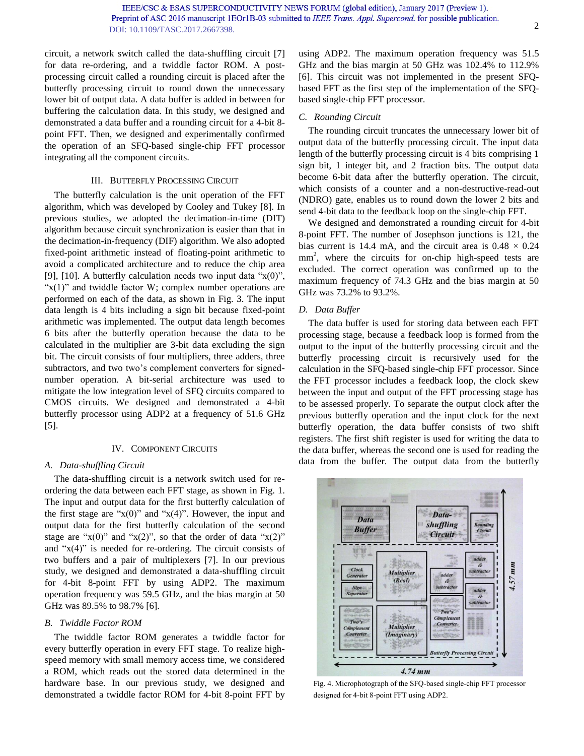circuit, a network switch called the data-shuffling circuit [\[7\]](#page-4-2) for data re-ordering, and a twiddle factor ROM. A postprocessing circuit called a rounding circuit is placed after the butterfly processing circuit to round down the unnecessary lower bit of output data. A data buffer is added in between for buffering the calculation data. In this study, we designed and demonstrated a data buffer and a rounding circuit for a 4-bit 8 point FFT. Then, we designed and experimentally confirmed the operation of an SFQ-based single-chip FFT processor integrating all the component circuits.

## III. BUTTERFLY PROCESSING CIRCUIT

The butterfly calculation is the unit operation of the FFT algorithm, which was developed by Cooley and Tukey [\[8\].](#page-4-3) In previous studies, we adopted the decimation-in-time (DIT) algorithm because circuit synchronization is easier than that in the decimation-in-frequency (DIF) algorithm. We also adopted fixed-point arithmetic instead of floating-point arithmetic to avoid a complicated architecture and to reduce the chip area [\[9\],](#page-4-4) [\[10\].](#page-4-5) A butterfly calculation needs two input data " $x(0)$ ", " $x(1)$ " and twiddle factor W; complex number operations are performed on each of the data, as shown in [Fig. 3.](#page-0-2) The input data length is 4 bits including a sign bit because fixed-point arithmetic was implemented. The output data length becomes 6 bits after the butterfly operation because the data to be calculated in the multiplier are 3-bit data excluding the sign bit. The circuit consists of four multipliers, three adders, three subtractors, and two two's complement converters for signednumber operation. A bit-serial architecture was used to mitigate the low integration level of SFQ circuits compared to CMOS circuits. We designed and demonstrated a 4-bit butterfly processor using ADP2 at a frequency of 51.6 GHz [5].

#### IV. COMPONENT CIRCUITS

#### *A. Data-shuffling Circuit*

The data-shuffling circuit is a network switch used for reordering the data between each FFT stage, as shown in [Fig. 1.](#page-0-0) The input and output data for the first butterfly calculation of the first stage are " $x(0)$ " and " $x(4)$ ". However, the input and output data for the first butterfly calculation of the second stage are " $x(0)$ " and " $x(2)$ ", so that the order of data " $x(2)$ " and " $x(4)$ " is needed for re-ordering. The circuit consists of two buffers and a pair of multiplexers [7]. In our previous study, we designed and demonstrated a data-shuffling circuit for 4-bit 8-point FFT by using ADP2. The maximum operation frequency was 59.5 GHz, and the bias margin at 50 GHz was 89.5% to 98.7% [6].

## *B. Twiddle Factor ROM*

The twiddle factor ROM generates a twiddle factor for every butterfly operation in every FFT stage. To realize highspeed memory with small memory access time, we considered a ROM, which reads out the stored data determined in the hardware base. In our previous study, we designed and demonstrated a twiddle factor ROM for 4-bit 8-point FFT by using ADP2. The maximum operation frequency was 51.5 GHz and the bias margin at 50 GHz was 102.4% to 112.9% [6]. This circuit was not implemented in the present SFQbased FFT as the first step of the implementation of the SFQbased single-chip FFT processor.

## *C. Rounding Circuit*

The rounding circuit truncates the unnecessary lower bit of output data of the butterfly processing circuit. The input data length of the butterfly processing circuit is 4 bits comprising 1 sign bit, 1 integer bit, and 2 fraction bits. The output data become 6-bit data after the butterfly operation. The circuit, which consists of a counter and a non-destructive-read-out (NDRO) gate, enables us to round down the lower 2 bits and send 4-bit data to the feedback loop on the single-chip FFT.

We designed and demonstrated a rounding circuit for 4-bit 8-point FFT. The number of Josephson junctions is 121, the bias current is 14.4 mA, and the circuit area is  $0.48 \times 0.24$ mm<sup>2</sup>, where the circuits for on-chip high-speed tests are excluded. The correct operation was confirmed up to the maximum frequency of 74.3 GHz and the bias margin at 50 GHz was 73.2% to 93.2%.

#### *D. Data Buffer*

The data buffer is used for storing data between each FFT processing stage, because a feedback loop is formed from the output to the input of the butterfly processing circuit and the butterfly processing circuit is recursively used for the calculation in the SFQ-based single-chip FFT processor. Since the FFT processor includes a feedback loop, the clock skew between the input and output of the FFT processing stage has to be assessed properly. To separate the output clock after the previous butterfly operation and the input clock for the next butterfly operation, the data buffer consists of two shift registers. The first shift register is used for writing the data to the data buffer, whereas the second one is used for reading the data from the buffer. The output data from the butterfly



<span id="page-1-0"></span>Fig. 4. Microphotograph of the SFQ-based single-chip FFT processor designed for 4-bit 8-point FFT using ADP2.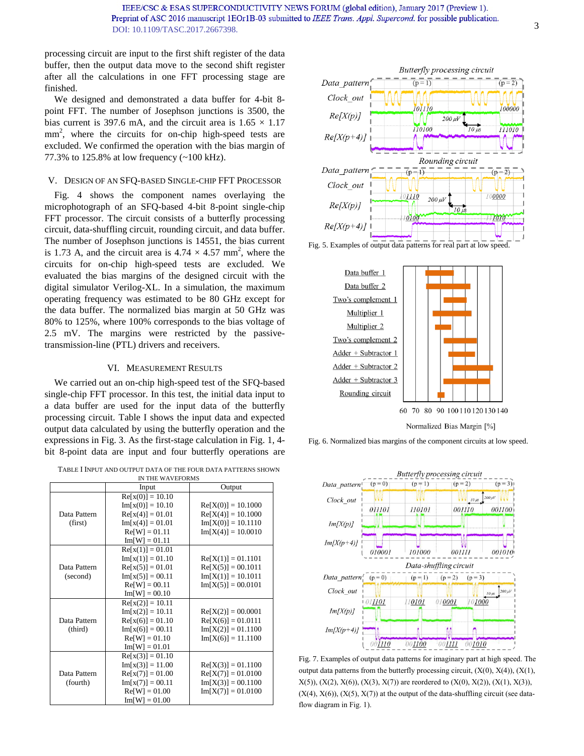processing circuit are input to the first shift register of the data buffer, then the output data move to the second shift register after all the calculations in one FFT processing stage are finished.

We designed and demonstrated a data buffer for 4-bit 8 point FFT. The number of Josephson junctions is 3500, the bias current is 397.6 mA, and the circuit area is  $1.65 \times 1.17$ mm<sup>2</sup>, where the circuits for on-chip high-speed tests are excluded. We confirmed the operation with the bias margin of 77.3% to 125.8% at low frequency (~100 kHz).

## V. DESIGN OF AN SFQ-BASED SINGLE-CHIP FFT PROCESSOR

[Fig. 4](#page-1-0) shows the component names overlaying the microphotograph of an SFQ-based 4-bit 8-point single-chip FFT processor. The circuit consists of a butterfly processing circuit, data-shuffling circuit, rounding circuit, and data buffer. The number of Josephson junctions is 14551, the bias current is 1.73 A, and the circuit area is  $4.74 \times 4.57$  mm<sup>2</sup>, where the circuits for on-chip high-speed tests are excluded. We evaluated the bias margins of the designed circuit with the digital simulator Verilog-XL. In a simulation, the maximum operating frequency was estimated to be 80 GHz except for the data buffer. The normalized bias margin at 50 GHz was 80% to 125%, where 100% corresponds to the bias voltage of 2.5 mV. The margins were restricted by the passivetransmission-line (PTL) drivers and receivers.

#### VI. MEASUREMENT RESULTS

We carried out an on-chip high-speed test of the SFQ-based single-chip FFT processor. In this test, the initial data input to a data buffer are used for the input data of the butterfly processing circuit. Table I shows the input data and expected output data calculated by using the butterfly operation and the expressions in Fig. 3. As the first-stage calculation in Fig. 1, 4 bit 8-point data are input and four butterfly operations are

TABLE I INPUT AND OUTPUT DATA OF THE FOUR DATA PATTERNS SHOWN

| IN THE WAVEFORMS        |                    |                      |
|-------------------------|--------------------|----------------------|
|                         | Input              | Output               |
|                         | $Re[x(0)] = 10.10$ |                      |
| Data Pattern<br>(first) | $Im[x(0)] = 10.10$ | $Re[X(0)] = 10.1000$ |
|                         | $Re[x(4)] = 01.01$ | $Re[X(4)] = 10.1000$ |
|                         | $Im[x(4)] = 01.01$ | $Im[X(0)] = 10.1110$ |
|                         | $Re[ W] = 01.11$   | $Im[X(4)] = 10.0010$ |
|                         | $Im[W] = 01.11$    |                      |
|                         | $Re[x(1)] = 01.01$ |                      |
|                         | $Im[x(1)] = 01.10$ | $Re[X(1)] = 01.1101$ |
| Data Pattern            | $Re[x(5)] = 01.01$ | $Re[X(5)] = 00.1011$ |
| (second)                | $Im[x(5)] = 00.11$ | $Im[X(1)] = 10.1011$ |
|                         | $Re[ W] = 00.11$   | $Im[X(5)] = 00.0101$ |
|                         | $Im[W] = 00.10$    |                      |
| Data Pattern<br>(third) | $Re[x(2)] = 10.11$ |                      |
|                         | $Im[x(2)] = 10.11$ | $Re[X(2)] = 00.0001$ |
|                         | $Re[x(6)] = 01.10$ | $Re[X(6)] = 01.0111$ |
|                         | $Im[x(6)] = 00.11$ | $Im[X(2)] = 01.1100$ |
|                         | $Re[ W] = 01.10$   | $Im[X(6)] = 11.1100$ |
|                         | $Im[W] = 01.01$    |                      |
|                         | $Re[x(3)] = 01.10$ |                      |
|                         | $Im[x(3)] = 11.00$ | $Re[X(3)] = 01.1100$ |
| Data Pattern            | $Re[x(7)] = 01.00$ | $Re[X(7)] = 01.0100$ |
| (fourth)                | $Im[x(7)] = 00.11$ | $Im[X(3)] = 00.1100$ |
|                         | $Re[ W] = 01.00$   | $Im[X(7)] = 01.0100$ |
|                         | $Im[W] = 01.00$    |                      |



<span id="page-2-0"></span>Fig. 5. Examples of output data patterns for real part at low speed.



<span id="page-2-1"></span>Fig. 6. Normalized bias margins of the component circuits at low speed.



<span id="page-2-2"></span>Fig. 7. Examples of output data patterns for imaginary part at high speed. The output data patterns from the butterfly processing circuit,  $(X(0), X(4))$ ,  $(X(1),$  $X(5)$ ,  $(X(2), X(6)$ ,  $(X(3), X(7))$  are reordered to  $(X(0), X(2))$ ,  $(X(1), X(3))$ ,  $(X(4), X(6)), (X(5), X(7))$  at the output of the data-shuffling circuit (see dataflow diagram in Fig. 1).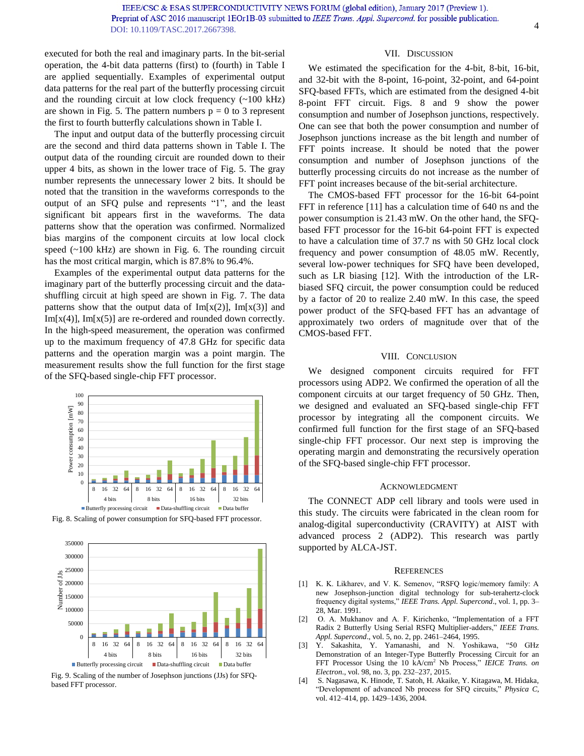executed for both the real and imaginary parts. In the bit-serial operation, the 4-bit data patterns (first) to (fourth) in Table I are applied sequentially. Examples of experimental output data patterns for the real part of the butterfly processing circuit and the rounding circuit at low clock frequency  $(\sim 100 \text{ kHz})$ are shown in [Fig. 5.](#page-2-0) The pattern numbers  $p = 0$  to 3 represent the first to fourth butterfly calculations shown in Table I.

The input and output data of the butterfly processing circuit are the second and third data patterns shown in Table I. The output data of the rounding circuit are rounded down to their upper 4 bits, as shown in the lower trace of Fig. 5. The gray number represents the unnecessary lower 2 bits. It should be noted that the transition in the waveforms corresponds to the output of an SFQ pulse and represents "1", and the least significant bit appears first in the waveforms. The data patterns show that the operation was confirmed. Normalized bias margins of the component circuits at low local clock speed (~100 kHz) are shown in [Fig. 6.](#page-2-1) The rounding circuit has the most critical margin, which is 87.8% to 96.4%.

Examples of the experimental output data patterns for the imaginary part of the butterfly processing circuit and the datashuffling circuit at high speed are shown in [Fig. 7.](#page-2-2) The data patterns show that the output data of  $Im[x(2)]$ ,  $Im[x(3)]$  and  $Im[x(4)]$ ,  $Im[x(5)]$  are re-ordered and rounded down correctly. In the high-speed measurement, the operation was confirmed up to the maximum frequency of 47.8 GHz for specific data patterns and the operation margin was a point margin. The measurement results show the full function for the first stage of the SFQ-based single-chip FFT processor.







Fig. 9. Scaling of the number of Josephson junctions (JJs) for SFQbased FFT processor.

## VII. DISCUSSION

We estimated the specification for the 4-bit, 8-bit, 16-bit, and 32-bit with the 8-point, 16-point, 32-point, and 64-point SFQ-based FFTs, which are estimated from the designed 4-bit 8-point FFT circuit. Figs. 8 and 9 show the power consumption and number of Josephson junctions, respectively. One can see that both the power consumption and number of Josephson junctions increase as the bit length and number of FFT points increase. It should be noted that the power consumption and number of Josephson junctions of the butterfly processing circuits do not increase as the number of FFT point increases because of the bit-serial architecture.

The CMOS-based FFT processor for the 16-bit 64-point FFT in reference [\[11\]](#page-4-6) has a calculation time of 640 ns and the power consumption is 21.43 mW. On the other hand, the SFQbased FFT processor for the 16-bit 64-point FFT is expected to have a calculation time of 37.7 ns with 50 GHz local clock frequency and power consumption of 48.05 mW. Recently, several low-power techniques for SFQ have been developed, such as LR biasing [12]. With the introduction of the LRbiased SFQ circuit, the power consumption could be reduced by a factor of 20 to realize 2.40 mW. In this case, the speed power product of the SFQ-based FFT has an advantage of approximately two orders of magnitude over that of the CMOS-based FFT.

#### VIII. CONCLUSION

We designed component circuits required for FFT processors using ADP2. We confirmed the operation of all the component circuits at our target frequency of 50 GHz. Then, we designed and evaluated an SFQ-based single-chip FFT processor by integrating all the component circuits. We confirmed full function for the first stage of an SFQ-based single-chip FFT processor. Our next step is improving the operating margin and demonstrating the recursively operation of the SFQ-based single-chip FFT processor.

#### ACKNOWLEDGMENT

The CONNECT ADP cell library and tools were used in this study. The circuits were fabricated in the clean room for analog-digital superconductivity (CRAVITY) at AIST with advanced process 2 (ADP2). This research was partly supported by ALCA-JST.

#### **REFERENCES**

- <span id="page-3-0"></span>[1] K. K. Likharev, and V. K. Semenov, "RSFQ logic/memory family: A new Josephson-junction digital technology for sub-terahertz-clock frequency digital systems," *IEEE Trans. Appl. Supercond*., vol. 1, pp. 3– 28, Mar. 1991.
- <span id="page-3-1"></span>[2] O. A. Mukhanov and A. F. Kirichenko, "Implementation of a FFT Radix 2 Butterfly Using Serial RSFQ Multiplier-adders," *IEEE Trans. Appl. Supercond*., vol. 5, no. 2, pp. 2461–2464, 1995.
- <span id="page-3-2"></span>[3] Y. Sakashita, Y. Yamanashi, and N. Yoshikawa, "50 GHz Demonstration of an Integer-Type Butterfly Processing Circuit for an FFT Processor Using the 10 kA/cm<sup>2</sup> Nb Process," *IEICE Trans. on Electron*., vol. 98, no. 3, pp. 232–237, 2015.
- <span id="page-3-3"></span>[4] S. Nagasawa, K. Hinode, T. Satoh, H. Akaike, Y. Kitagawa, M. Hidaka, "Development of advanced Nb process for SFQ circuits," *Physica C*, vol. 412–414, pp. 1429–1436, 2004.